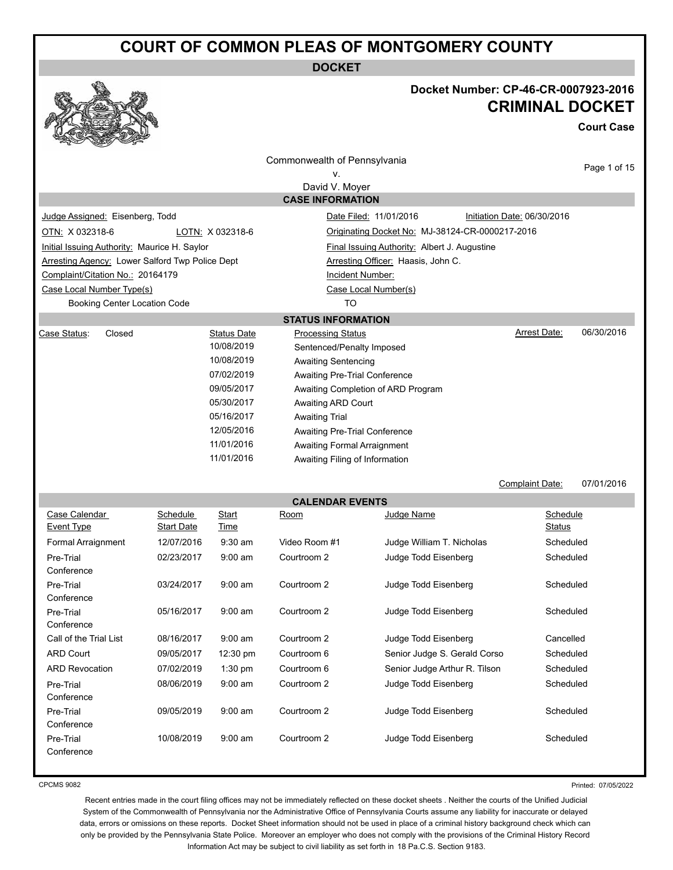**DOCKET**



### **Docket Number: CP-46-CR-0007923-2016 CRIMINAL DOCKET**

**Court Case**

|                                                 |                   |                          | Commonwealth of Pennsylvania         |                                                 |                               |
|-------------------------------------------------|-------------------|--------------------------|--------------------------------------|-------------------------------------------------|-------------------------------|
|                                                 |                   |                          | ν.                                   |                                                 | Page 1 of 15                  |
|                                                 |                   |                          | David V. Moyer                       |                                                 |                               |
|                                                 |                   |                          | <b>CASE INFORMATION</b>              |                                                 |                               |
| Judge Assigned: Eisenberg, Todd                 |                   |                          |                                      | Date Filed: 11/01/2016                          | Initiation Date: 06/30/2016   |
| OTN: X 032318-6                                 |                   | LOTN: X 032318-6         |                                      | Originating Docket No: MJ-38124-CR-0000217-2016 |                               |
| Initial Issuing Authority: Maurice H. Saylor    |                   |                          |                                      | Final Issuing Authority: Albert J. Augustine    |                               |
| Arresting Agency: Lower Salford Twp Police Dept |                   |                          |                                      | Arresting Officer: Haasis, John C.              |                               |
| Complaint/Citation No.: 20164179                |                   |                          | Incident Number:                     |                                                 |                               |
| Case Local Number Type(s)                       |                   |                          |                                      | Case Local Number(s)                            |                               |
| <b>Booking Center Location Code</b>             |                   |                          | TO                                   |                                                 |                               |
|                                                 |                   |                          | <b>STATUS INFORMATION</b>            |                                                 |                               |
| Case Status:<br>Closed                          |                   | <b>Status Date</b>       | <b>Processing Status</b>             |                                                 | 06/30/2016<br>Arrest Date:    |
|                                                 |                   | 10/08/2019               | Sentenced/Penalty Imposed            |                                                 |                               |
|                                                 |                   | 10/08/2019<br>07/02/2019 | <b>Awaiting Sentencing</b>           |                                                 |                               |
|                                                 |                   | 09/05/2017               | <b>Awaiting Pre-Trial Conference</b> |                                                 |                               |
|                                                 |                   | 05/30/2017               | Awaiting ARD Court                   | Awaiting Completion of ARD Program              |                               |
|                                                 |                   | 05/16/2017               | <b>Awaiting Trial</b>                |                                                 |                               |
|                                                 |                   | 12/05/2016               | Awaiting Pre-Trial Conference        |                                                 |                               |
|                                                 |                   | 11/01/2016               | <b>Awaiting Formal Arraignment</b>   |                                                 |                               |
|                                                 |                   | 11/01/2016               | Awaiting Filing of Information       |                                                 |                               |
|                                                 |                   |                          |                                      |                                                 |                               |
|                                                 |                   |                          |                                      |                                                 | Complaint Date:<br>07/01/2016 |
|                                                 |                   |                          | <b>CALENDAR EVENTS</b>               |                                                 |                               |
| Case Calendar                                   | Schedule          | Start                    | Room                                 | Judge Name                                      | Schedule                      |
| Event Type                                      | <b>Start Date</b> | Time                     |                                      |                                                 | Status                        |
| Formal Arraignment                              | 12/07/2016        | $9:30$ am                | Video Room #1                        | Judge William T. Nicholas                       | Scheduled                     |
| Pre-Trial                                       | 02/23/2017        | $9:00$ am                | Courtroom 2                          | Judge Todd Eisenberg                            | Scheduled                     |
| Conference                                      |                   |                          |                                      |                                                 |                               |
| Pre-Trial<br>Conference                         | 03/24/2017        | $9:00$ am                | Courtroom 2                          | Judge Todd Eisenberg                            | Scheduled                     |
| Pre-Trial                                       | 05/16/2017        | $9:00$ am                | Courtroom 2                          | Judge Todd Eisenberg                            | Scheduled                     |
| Conference                                      |                   |                          |                                      |                                                 |                               |
| Call of the Trial List                          | 08/16/2017        | $9:00$ am                | Courtroom 2                          | Judge Todd Eisenberg                            | Cancelled                     |
| <b>ARD Court</b>                                | 09/05/2017        | 12:30 pm                 | Courtroom 6                          | Senior Judge S. Gerald Corso                    | Scheduled                     |
| <b>ARD Revocation</b>                           | 07/02/2019        | 1:30 pm                  | Courtroom 6                          | Senior Judge Arthur R. Tilson                   | Scheduled                     |
| Pre-Trial                                       | 08/06/2019        | $9:00$ am                | Courtroom 2                          | Judge Todd Eisenberg                            | Scheduled                     |
| Conference                                      |                   |                          |                                      |                                                 |                               |
| Pre-Trial                                       | 09/05/2019        | $9:00$ am                | Courtroom 2                          | Judge Todd Eisenberg                            | Scheduled                     |
| Conference                                      |                   |                          |                                      |                                                 |                               |
|                                                 |                   |                          |                                      |                                                 |                               |
| Pre-Trial<br>Conference                         | 10/08/2019        | $9:00$ am                | Courtroom 2                          | Judge Todd Eisenberg                            | Scheduled                     |

CPCMS 9082

Printed: 07/05/2022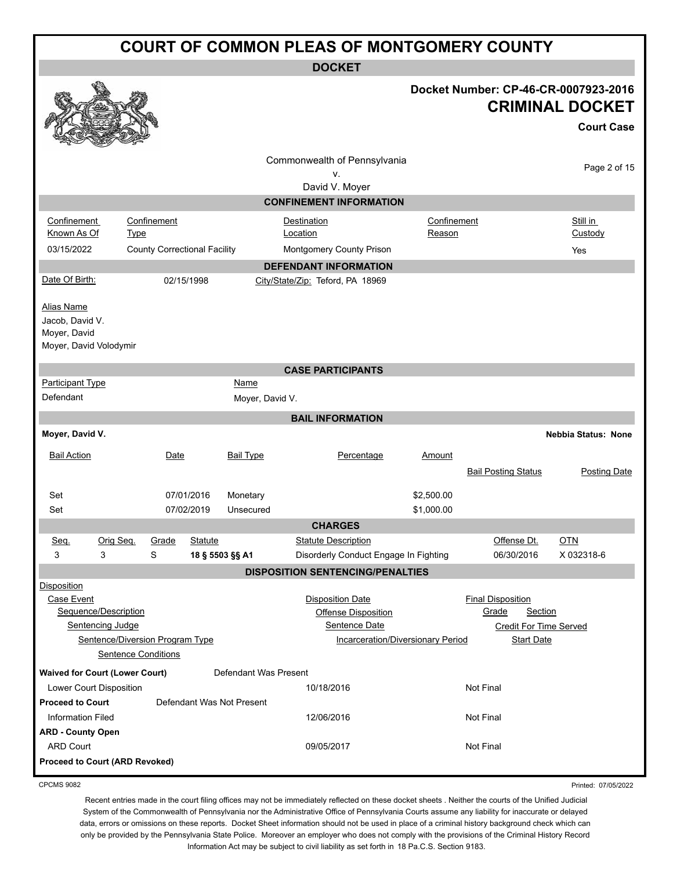|                                                                                     | <b>COURT OF COMMON PLEAS OF MONTGOMERY COUNTY</b> |                                                               |                |                           |                                         |                                                                                         |                       |                                                                                                    |                                                                                     |
|-------------------------------------------------------------------------------------|---------------------------------------------------|---------------------------------------------------------------|----------------|---------------------------|-----------------------------------------|-----------------------------------------------------------------------------------------|-----------------------|----------------------------------------------------------------------------------------------------|-------------------------------------------------------------------------------------|
|                                                                                     |                                                   |                                                               |                |                           | <b>DOCKET</b>                           |                                                                                         |                       |                                                                                                    |                                                                                     |
|                                                                                     |                                                   |                                                               |                |                           |                                         |                                                                                         |                       |                                                                                                    | Docket Number: CP-46-CR-0007923-2016<br><b>CRIMINAL DOCKET</b><br><b>Court Case</b> |
|                                                                                     |                                                   |                                                               |                |                           | Commonwealth of Pennsylvania            |                                                                                         |                       |                                                                                                    | Page 2 of 15                                                                        |
|                                                                                     |                                                   |                                                               |                |                           | v.<br>David V. Moyer                    |                                                                                         |                       |                                                                                                    |                                                                                     |
|                                                                                     |                                                   |                                                               |                |                           | <b>CONFINEMENT INFORMATION</b>          |                                                                                         |                       |                                                                                                    |                                                                                     |
| Confinement<br>Known As Of                                                          | <b>Type</b>                                       | Confinement                                                   |                |                           | Destination<br>Location                 |                                                                                         | Confinement<br>Reason |                                                                                                    | Still in<br>Custody                                                                 |
| 03/15/2022                                                                          |                                                   | <b>County Correctional Facility</b>                           |                |                           | Montgomery County Prison                |                                                                                         |                       |                                                                                                    | Yes                                                                                 |
|                                                                                     |                                                   |                                                               |                |                           | <b>DEFENDANT INFORMATION</b>            |                                                                                         |                       |                                                                                                    |                                                                                     |
| Date Of Birth:                                                                      |                                                   |                                                               | 02/15/1998     |                           | City/State/Zip: Teford, PA 18969        |                                                                                         |                       |                                                                                                    |                                                                                     |
| <b>Alias Name</b><br>Jacob, David V.<br>Moyer, David<br>Moyer, David Volodymir      |                                                   |                                                               |                |                           |                                         |                                                                                         |                       |                                                                                                    |                                                                                     |
|                                                                                     |                                                   |                                                               |                |                           | <b>CASE PARTICIPANTS</b>                |                                                                                         |                       |                                                                                                    |                                                                                     |
| Participant Type                                                                    |                                                   |                                                               |                | Name                      |                                         |                                                                                         |                       |                                                                                                    |                                                                                     |
| Defendant                                                                           |                                                   |                                                               |                | Moyer, David V.           |                                         |                                                                                         |                       |                                                                                                    |                                                                                     |
|                                                                                     |                                                   |                                                               |                |                           | <b>BAIL INFORMATION</b>                 |                                                                                         |                       |                                                                                                    |                                                                                     |
| Moyer, David V.                                                                     |                                                   |                                                               |                |                           |                                         |                                                                                         |                       |                                                                                                    | <b>Nebbia Status: None</b>                                                          |
| <b>Bail Action</b>                                                                  |                                                   | Date                                                          |                | <b>Bail Type</b>          |                                         | Percentage                                                                              | Amount                | <b>Bail Posting Status</b>                                                                         | <b>Posting Date</b>                                                                 |
| Set                                                                                 |                                                   |                                                               | 07/01/2016     | Monetary                  |                                         |                                                                                         | \$2,500.00            |                                                                                                    |                                                                                     |
| Set                                                                                 |                                                   |                                                               | 07/02/2019     | Unsecured                 |                                         |                                                                                         | \$1,000.00            |                                                                                                    |                                                                                     |
|                                                                                     |                                                   |                                                               |                |                           | <b>CHARGES</b>                          |                                                                                         |                       |                                                                                                    |                                                                                     |
| Seq.                                                                                | Orig Seq.                                         | Grade                                                         | <b>Statute</b> |                           | <b>Statute Description</b>              |                                                                                         |                       | Offense Dt.                                                                                        | <b>OTN</b>                                                                          |
| 3<br>3                                                                              |                                                   | S                                                             |                | 18 § 5503 §§ A1           |                                         | Disorderly Conduct Engage In Fighting                                                   |                       | 06/30/2016                                                                                         | X 032318-6                                                                          |
|                                                                                     |                                                   |                                                               |                |                           | <b>DISPOSITION SENTENCING/PENALTIES</b> |                                                                                         |                       |                                                                                                    |                                                                                     |
| <b>Disposition</b><br>Case Event<br>Sequence/Description<br><b>Sentencing Judge</b> |                                                   | Sentence/Diversion Program Type<br><b>Sentence Conditions</b> |                |                           | <b>Disposition Date</b>                 | <b>Offense Disposition</b><br>Sentence Date<br><b>Incarceration/Diversionary Period</b> |                       | <b>Final Disposition</b><br>Grade<br>Section<br><b>Credit For Time Served</b><br><b>Start Date</b> |                                                                                     |
| <b>Waived for Court (Lower Court)</b>                                               |                                                   |                                                               |                | Defendant Was Present     |                                         |                                                                                         |                       |                                                                                                    |                                                                                     |
| Lower Court Disposition                                                             |                                                   |                                                               |                |                           | 10/18/2016                              |                                                                                         |                       | <b>Not Final</b>                                                                                   |                                                                                     |
| <b>Proceed to Court</b>                                                             |                                                   |                                                               |                | Defendant Was Not Present |                                         |                                                                                         |                       |                                                                                                    |                                                                                     |
| <b>Information Filed</b>                                                            |                                                   |                                                               |                |                           | 12/06/2016                              |                                                                                         |                       | <b>Not Final</b>                                                                                   |                                                                                     |
| <b>ARD - County Open</b>                                                            |                                                   |                                                               |                |                           |                                         |                                                                                         |                       |                                                                                                    |                                                                                     |
| <b>ARD Court</b>                                                                    |                                                   |                                                               |                |                           | 09/05/2017                              |                                                                                         |                       | <b>Not Final</b>                                                                                   |                                                                                     |
| <b>Proceed to Court (ARD Revoked)</b>                                               |                                                   |                                                               |                |                           |                                         |                                                                                         |                       |                                                                                                    |                                                                                     |

CPCMS 9082

Recent entries made in the court filing offices may not be immediately reflected on these docket sheets . Neither the courts of the Unified Judicial System of the Commonwealth of Pennsylvania nor the Administrative Office of Pennsylvania Courts assume any liability for inaccurate or delayed data, errors or omissions on these reports. Docket Sheet information should not be used in place of a criminal history background check which can only be provided by the Pennsylvania State Police. Moreover an employer who does not comply with the provisions of the Criminal History Record Information Act may be subject to civil liability as set forth in 18 Pa.C.S. Section 9183.

Printed: 07/05/2022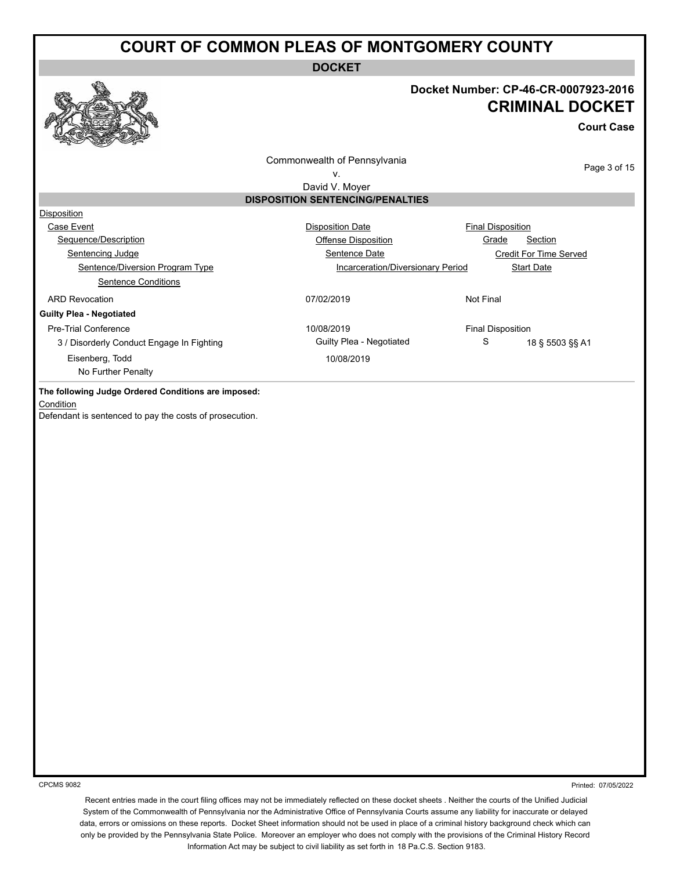**DOCKET**

#### **Docket Number: CP-46-CR-0007923-2016 CRIMINAL DOCKET**

**Court Case**

Commonwealth of Pennsylvania

Page 3 of 15

v.

#### David V. Moyer **DISPOSITION SENTENCING/PENALTIES**

| <b>Disposition Date</b>    |           |                                                                                                    |
|----------------------------|-----------|----------------------------------------------------------------------------------------------------|
| <b>Offense Disposition</b> |           | Section                                                                                            |
| Sentence Date              |           | <b>Credit For Time Served</b>                                                                      |
|                            |           | <b>Start Date</b>                                                                                  |
|                            |           |                                                                                                    |
| 07/02/2019                 | Not Final |                                                                                                    |
|                            |           |                                                                                                    |
| 10/08/2019                 |           |                                                                                                    |
| Guilty Plea - Negotiated   | S         | 18 § 5503 §§ A1                                                                                    |
| 10/08/2019                 |           |                                                                                                    |
|                            |           |                                                                                                    |
|                            |           | <b>Final Disposition</b><br>Grade<br>Incarceration/Diversionary Period<br><b>Final Disposition</b> |

**The following Judge Ordered Conditions are imposed:**

**Condition** 

Defendant is sentenced to pay the costs of prosecution.

CPCMS 9082

Printed: 07/05/2022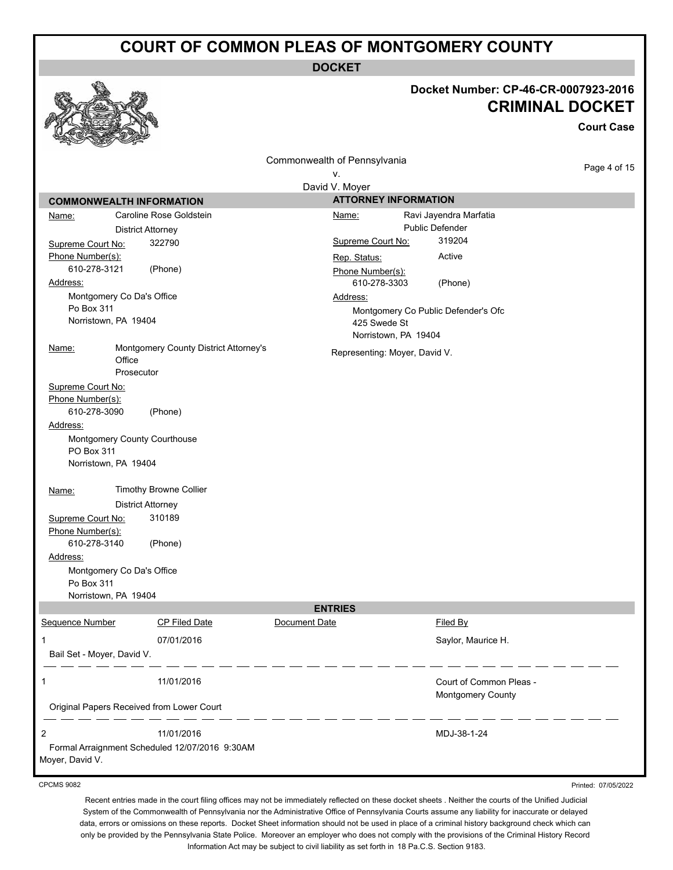**DOCKET**

# **Docket Number: CP-46-CR-0007923-2016**

|                                                       | Docket Number: CP-46-CR-0007923-2016 |
|-------------------------------------------------------|--------------------------------------|
|                                                       | <b>CRIMINAL DOCKET</b>               |
|                                                       | <b>Court Case</b>                    |
|                                                       | Commonwealth of Pennsylvania         |
|                                                       | Page 4 of 15<br>٧.                   |
|                                                       | David V. Moyer                       |
| <b>COMMONWEALTH INFORMATION</b>                       | <b>ATTORNEY INFORMATION</b>          |
| Caroline Rose Goldstein<br><u>Name:</u>               | Ravi Jayendra Marfatia<br>Name:      |
| <b>District Attorney</b>                              | <b>Public Defender</b>               |
| 322790<br>Supreme Court No:                           | 319204<br>Supreme Court No:          |
| Phone Number(s):                                      | Active<br>Rep. Status:               |
| 610-278-3121<br>(Phone)<br>Address:                   | Phone Number(s):<br>610-278-3303     |
| Montgomery Co Da's Office                             | (Phone)<br>Address:                  |
| Po Box 311                                            | Montgomery Co Public Defender's Ofc  |
| Norristown, PA 19404                                  | 425 Swede St                         |
|                                                       | Norristown, PA 19404                 |
| Montgomery County District Attorney's<br><u>Name:</u> | Representing: Moyer, David V.        |
| Office                                                |                                      |
| Prosecutor                                            |                                      |
| Supreme Court No:<br>Phone Number(s):                 |                                      |
| 610-278-3090<br>(Phone)                               |                                      |
| Address:                                              |                                      |
| Montgomery County Courthouse                          |                                      |
| PO Box 311                                            |                                      |
| Norristown, PA 19404                                  |                                      |
| Timothy Browne Collier<br>Name:                       |                                      |
| <b>District Attorney</b>                              |                                      |
| 310189<br>Supreme Court No:                           |                                      |
| Phone Number(s):                                      |                                      |
| 610-278-3140<br>(Phone)                               |                                      |
| Address:                                              |                                      |
| Montgomery Co Da's Office<br>Po Box 311               |                                      |
| Norristown, PA 19404                                  |                                      |
|                                                       | <b>ENTRIES</b>                       |
| Sequence Number<br><b>CP Filed Date</b>               | Document Date<br>Filed By            |
| 1<br>07/01/2016                                       | Saylor, Maurice H.                   |
| Bail Set - Moyer, David V.                            |                                      |
| 11/01/2016<br>1                                       | Court of Common Pleas -              |
| Original Papers Received from Lower Court             | Montgomery County                    |
| 2<br>11/01/2016                                       | MDJ-38-1-24                          |
| Formal Arraignment Scheduled 12/07/2016 9:30AM        |                                      |

Moyer, David V.

 $\bullet$ 

CPCMS 9082

Printed: 07/05/2022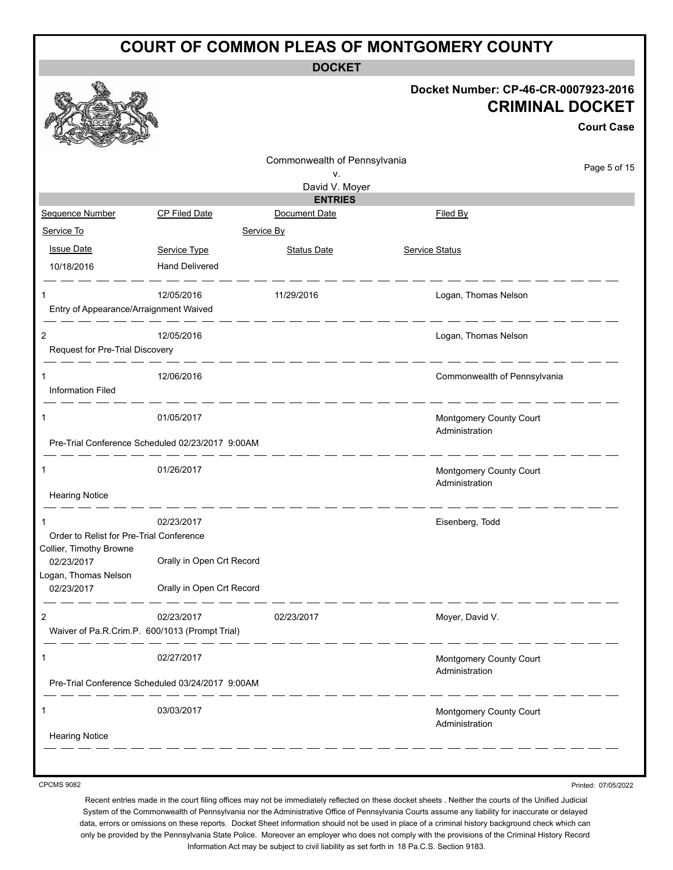**DOCKET**

#### **Docket Number: CP-46-CR-0007923-2016 CRIMINAL DOCKET**

**Court Case**

|                                                                     |                                                  | Commonwealth of Pennsylvania |                                           | Page 5 of 15 |
|---------------------------------------------------------------------|--------------------------------------------------|------------------------------|-------------------------------------------|--------------|
|                                                                     |                                                  | V.<br>David V. Moyer         |                                           |              |
|                                                                     |                                                  | <b>ENTRIES</b>               |                                           |              |
| Sequence Number                                                     | <b>CP Filed Date</b>                             | Document Date                | Filed By                                  |              |
| Service To                                                          | Service By                                       |                              |                                           |              |
| <b>Issue Date</b>                                                   | Service Type                                     | <b>Status Date</b>           | <b>Service Status</b>                     |              |
| 10/18/2016                                                          | <b>Hand Delivered</b>                            |                              |                                           |              |
| 1                                                                   | 12/05/2016                                       | 11/29/2016                   | Logan, Thomas Nelson                      |              |
| Entry of Appearance/Arraignment Waived                              |                                                  |                              |                                           |              |
| 2                                                                   | 12/05/2016                                       |                              | Logan, Thomas Nelson                      |              |
| Request for Pre-Trial Discovery                                     |                                                  |                              |                                           |              |
|                                                                     | 12/06/2016                                       |                              | Commonwealth of Pennsylvania              |              |
| <b>Information Filed</b>                                            |                                                  |                              |                                           |              |
| 1                                                                   | 01/05/2017                                       |                              | Montgomery County Court<br>Administration |              |
|                                                                     | Pre-Trial Conference Scheduled 02/23/2017 9:00AM |                              |                                           |              |
| 1                                                                   | 01/26/2017                                       |                              | Montgomery County Court<br>Administration |              |
| <b>Hearing Notice</b>                                               |                                                  |                              |                                           |              |
|                                                                     | 02/23/2017                                       |                              | Eisenberg, Todd                           |              |
| Order to Relist for Pre-Trial Conference<br>Collier, Timothy Browne |                                                  |                              |                                           |              |
| 02/23/2017                                                          | Orally in Open Crt Record                        |                              |                                           |              |
| Logan, Thomas Nelson<br>02/23/2017                                  | Orally in Open Crt Record                        |                              |                                           |              |
| 2                                                                   | 02/23/2017                                       | 02/23/2017                   | Moyer, David V.                           |              |
|                                                                     | Waiver of Pa.R.Crim.P. 600/1013 (Prompt Trial)   |                              |                                           |              |
| 1                                                                   | 02/27/2017                                       |                              | Montgomery County Court<br>Administration |              |
|                                                                     | Pre-Trial Conference Scheduled 03/24/2017 9:00AM |                              |                                           |              |
| 1                                                                   | 03/03/2017                                       |                              | Montgomery County Court                   |              |
| <b>Hearing Notice</b>                                               |                                                  |                              | Administration                            |              |
|                                                                     |                                                  |                              |                                           |              |

CPCMS 9082

Printed: 07/05/2022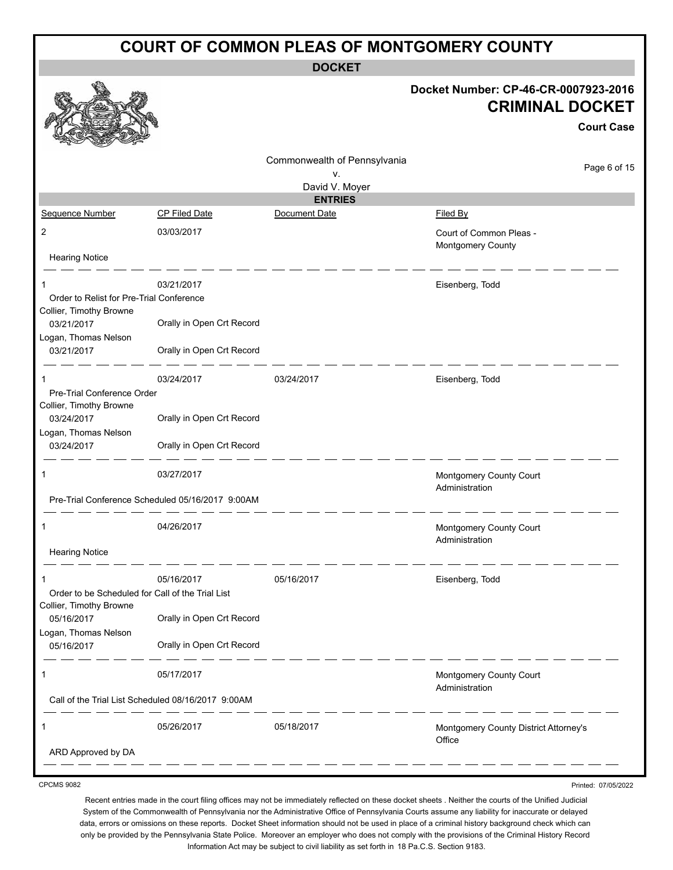| <b>COURT OF COMMON PLEAS OF MONTGOMERY COUNTY</b>                   |                                                    |                              |                                                                                     |  |  |
|---------------------------------------------------------------------|----------------------------------------------------|------------------------------|-------------------------------------------------------------------------------------|--|--|
|                                                                     |                                                    | <b>DOCKET</b>                |                                                                                     |  |  |
|                                                                     |                                                    |                              | Docket Number: CP-46-CR-0007923-2016<br><b>CRIMINAL DOCKET</b><br><b>Court Case</b> |  |  |
|                                                                     |                                                    | Commonwealth of Pennsylvania | Page 6 of 15                                                                        |  |  |
|                                                                     |                                                    | ν.<br>David V. Moyer         |                                                                                     |  |  |
|                                                                     |                                                    | <b>ENTRIES</b>               |                                                                                     |  |  |
| Sequence Number                                                     | <b>CP Filed Date</b>                               | Document Date                | Filed By                                                                            |  |  |
| $\overline{2}$                                                      | 03/03/2017                                         |                              | Court of Common Pleas -<br>Montgomery County                                        |  |  |
| <b>Hearing Notice</b>                                               |                                                    |                              |                                                                                     |  |  |
| 1                                                                   | 03/21/2017                                         |                              | Eisenberg, Todd                                                                     |  |  |
| Order to Relist for Pre-Trial Conference<br>Collier, Timothy Browne |                                                    |                              |                                                                                     |  |  |
| 03/21/2017                                                          | Orally in Open Crt Record                          |                              |                                                                                     |  |  |
| Logan, Thomas Nelson<br>03/21/2017                                  | Orally in Open Crt Record                          |                              |                                                                                     |  |  |
|                                                                     | 03/24/2017                                         | 03/24/2017                   | Eisenberg, Todd                                                                     |  |  |
| Pre-Trial Conference Order                                          |                                                    |                              |                                                                                     |  |  |
| Collier, Timothy Browne                                             |                                                    |                              |                                                                                     |  |  |
| 03/24/2017                                                          | Orally in Open Crt Record                          |                              |                                                                                     |  |  |
| Logan, Thomas Nelson<br>03/24/2017                                  | Orally in Open Crt Record                          |                              |                                                                                     |  |  |
| 1                                                                   | 03/27/2017                                         |                              | Montgomery County Court<br>Administration                                           |  |  |
|                                                                     | Pre-Trial Conference Scheduled 05/16/2017 9:00AM   |                              |                                                                                     |  |  |
|                                                                     | 04/26/2017                                         |                              | <b>Montgomery County Court</b><br>Administration                                    |  |  |
| <b>Hearing Notice</b>                                               |                                                    |                              |                                                                                     |  |  |
| 1                                                                   | 05/16/2017                                         | 05/16/2017                   | Eisenberg, Todd                                                                     |  |  |
| Order to be Scheduled for Call of the Trial List                    |                                                    |                              |                                                                                     |  |  |
| Collier, Timothy Browne<br>05/16/2017                               | Orally in Open Crt Record                          |                              |                                                                                     |  |  |
| Logan, Thomas Nelson<br>05/16/2017                                  | Orally in Open Crt Record                          |                              |                                                                                     |  |  |
| 1                                                                   | 05/17/2017                                         |                              | Montgomery County Court<br>Administration                                           |  |  |
|                                                                     | Call of the Trial List Scheduled 08/16/2017 9:00AM |                              |                                                                                     |  |  |
| 1                                                                   | 05/26/2017                                         | 05/18/2017                   | Montgomery County District Attorney's                                               |  |  |
| ARD Approved by DA                                                  |                                                    |                              | Office                                                                              |  |  |

CPCMS 9082

Printed: 07/05/2022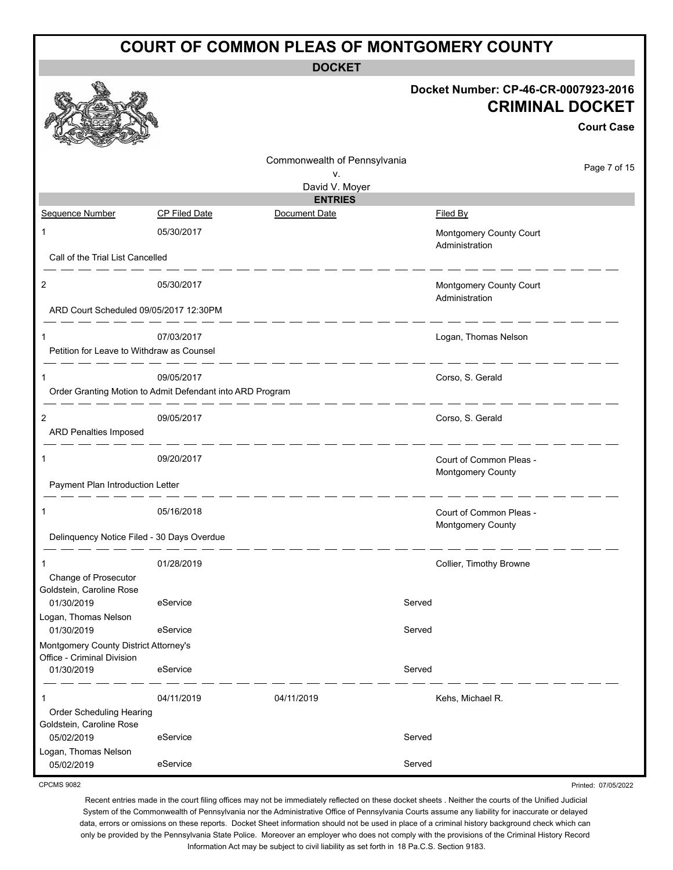| <b>COURT OF COMMON PLEAS OF MONTGOMERY COUNTY</b>                   |                                                                         |                                        |                                                                |                     |  |
|---------------------------------------------------------------------|-------------------------------------------------------------------------|----------------------------------------|----------------------------------------------------------------|---------------------|--|
|                                                                     |                                                                         | <b>DOCKET</b>                          |                                                                |                     |  |
|                                                                     |                                                                         |                                        | Docket Number: CP-46-CR-0007923-2016<br><b>CRIMINAL DOCKET</b> | <b>Court Case</b>   |  |
|                                                                     |                                                                         | Commonwealth of Pennsylvania           |                                                                | Page 7 of 15        |  |
|                                                                     |                                                                         | ν.<br>David V. Moyer<br><b>ENTRIES</b> |                                                                |                     |  |
| Sequence Number                                                     | <b>CP Filed Date</b>                                                    | Document Date                          | Filed By                                                       |                     |  |
| $\mathbf{1}$                                                        | 05/30/2017                                                              |                                        | Montgomery County Court<br>Administration                      |                     |  |
| Call of the Trial List Cancelled                                    |                                                                         |                                        |                                                                |                     |  |
| 2<br>ARD Court Scheduled 09/05/2017 12:30PM                         | 05/30/2017                                                              |                                        | Montgomery County Court<br>Administration                      |                     |  |
|                                                                     |                                                                         |                                        |                                                                |                     |  |
| 1<br>Petition for Leave to Withdraw as Counsel                      | 07/03/2017                                                              |                                        | Logan, Thomas Nelson                                           |                     |  |
|                                                                     | 09/05/2017<br>Order Granting Motion to Admit Defendant into ARD Program |                                        | Corso, S. Gerald                                               |                     |  |
| 2<br>ARD Penalties Imposed                                          | 09/05/2017                                                              |                                        | Corso, S. Gerald                                               |                     |  |
| 1                                                                   | - -- -- -- -- -- -- -<br>09/20/2017                                     |                                        | Court of Common Pleas -<br>Montgomery County                   |                     |  |
| Payment Plan Introduction Letter                                    |                                                                         |                                        |                                                                |                     |  |
|                                                                     | 05/16/2018                                                              |                                        | Court of Common Pleas -<br>Montgomery County                   |                     |  |
| Delinquency Notice Filed - 30 Days Overdue                          |                                                                         |                                        |                                                                |                     |  |
| Change of Prosecutor<br>Goldstein, Caroline Rose                    | 01/28/2019                                                              |                                        | Collier, Timothy Browne                                        |                     |  |
| 01/30/2019                                                          | eService                                                                |                                        | Served                                                         |                     |  |
| Logan, Thomas Nelson<br>01/30/2019                                  | eService                                                                |                                        | Served                                                         |                     |  |
| Montgomery County District Attorney's<br>Office - Criminal Division |                                                                         |                                        |                                                                |                     |  |
| 01/30/2019                                                          | eService                                                                |                                        | Served                                                         |                     |  |
| Order Scheduling Hearing                                            | 04/11/2019                                                              | 04/11/2019                             | Kehs, Michael R.                                               |                     |  |
| Goldstein, Caroline Rose<br>05/02/2019                              | eService                                                                |                                        | Served                                                         |                     |  |
| Logan, Thomas Nelson<br>05/02/2019                                  | eService                                                                |                                        | Served                                                         |                     |  |
| <b>CPCMS 9082</b>                                                   |                                                                         |                                        |                                                                | Printed: 07/05/2022 |  |

Recent entries made in the court filing offices may not be immediately reflected on these docket sheets . Neither the courts of the Unified Judicial System of the Commonwealth of Pennsylvania nor the Administrative Office of Pennsylvania Courts assume any liability for inaccurate or delayed data, errors or omissions on these reports. Docket Sheet information should not be used in place of a criminal history background check which can only be provided by the Pennsylvania State Police. Moreover an employer who does not comply with the provisions of the Criminal History Record

Information Act may be subject to civil liability as set forth in 18 Pa.C.S. Section 9183.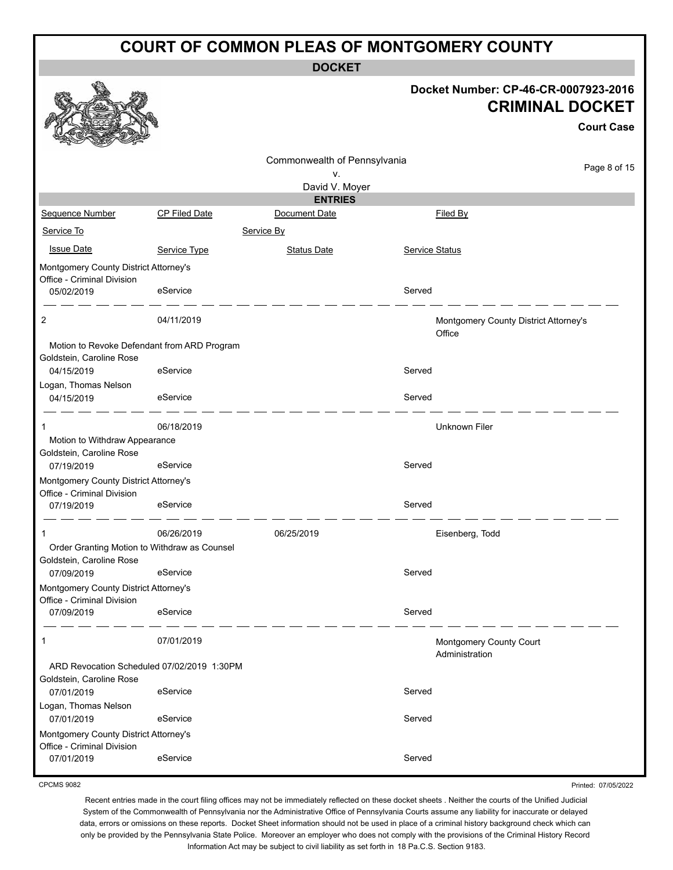**DOCKET**

#### **Docket Number: CP-46-CR-0007923-2016 CRIMINAL DOCKET**

|                                                                     |                                              |                                    |                       | <b>Court Case</b>                               |
|---------------------------------------------------------------------|----------------------------------------------|------------------------------------|-----------------------|-------------------------------------------------|
|                                                                     |                                              | Commonwealth of Pennsylvania<br>٧. |                       | Page 8 of 15                                    |
|                                                                     |                                              | David V. Moyer                     |                       |                                                 |
|                                                                     |                                              | <b>ENTRIES</b>                     |                       |                                                 |
| Sequence Number                                                     | <b>CP Filed Date</b>                         | Document Date                      |                       | Filed By                                        |
| Service To                                                          |                                              | Service By                         |                       |                                                 |
| <b>Issue Date</b>                                                   | Service Type                                 | <b>Status Date</b>                 | <b>Service Status</b> |                                                 |
| Montgomery County District Attorney's                               |                                              |                                    |                       |                                                 |
| Office - Criminal Division                                          |                                              |                                    |                       |                                                 |
| 05/02/2019                                                          | eService                                     |                                    | Served                |                                                 |
| 2                                                                   | 04/11/2019                                   |                                    |                       | Montgomery County District Attorney's<br>Office |
| Goldstein, Caroline Rose                                            | Motion to Revoke Defendant from ARD Program  |                                    |                       |                                                 |
| 04/15/2019                                                          | eService                                     |                                    | Served                |                                                 |
| Logan, Thomas Nelson                                                |                                              |                                    |                       |                                                 |
| 04/15/2019                                                          | eService                                     |                                    | Served                |                                                 |
| 1                                                                   | 06/18/2019                                   |                                    |                       | <b>Unknown Filer</b>                            |
| Motion to Withdraw Appearance                                       |                                              |                                    |                       |                                                 |
| Goldstein, Caroline Rose                                            | eService                                     |                                    | Served                |                                                 |
| 07/19/2019                                                          |                                              |                                    |                       |                                                 |
| Montgomery County District Attorney's<br>Office - Criminal Division |                                              |                                    |                       |                                                 |
| 07/19/2019                                                          | eService                                     |                                    | Served                |                                                 |
| 1                                                                   | 06/26/2019                                   | 06/25/2019                         |                       | Eisenberg, Todd                                 |
|                                                                     | Order Granting Motion to Withdraw as Counsel |                                    |                       |                                                 |
| Goldstein, Caroline Rose                                            |                                              |                                    |                       |                                                 |
| 07/09/2019                                                          | eService                                     |                                    | Served                |                                                 |
| Montgomery County District Attorney's<br>Office - Criminal Division |                                              |                                    |                       |                                                 |
| 07/09/2019                                                          | eService                                     |                                    | Served                |                                                 |
| 1                                                                   | 07/01/2019                                   |                                    |                       | Montgomery County Court<br>Administration       |
|                                                                     | ARD Revocation Scheduled 07/02/2019 1:30PM   |                                    |                       |                                                 |
| Goldstein, Caroline Rose                                            |                                              |                                    |                       |                                                 |
| 07/01/2019                                                          | eService                                     |                                    | Served                |                                                 |
| Logan, Thomas Nelson<br>07/01/2019                                  | eService                                     |                                    | Served                |                                                 |
| Montgomery County District Attorney's                               |                                              |                                    |                       |                                                 |
| Office - Criminal Division                                          |                                              |                                    |                       |                                                 |
| 07/01/2019                                                          | eService                                     |                                    | Served                |                                                 |

CPCMS 9082

Printed: 07/05/2022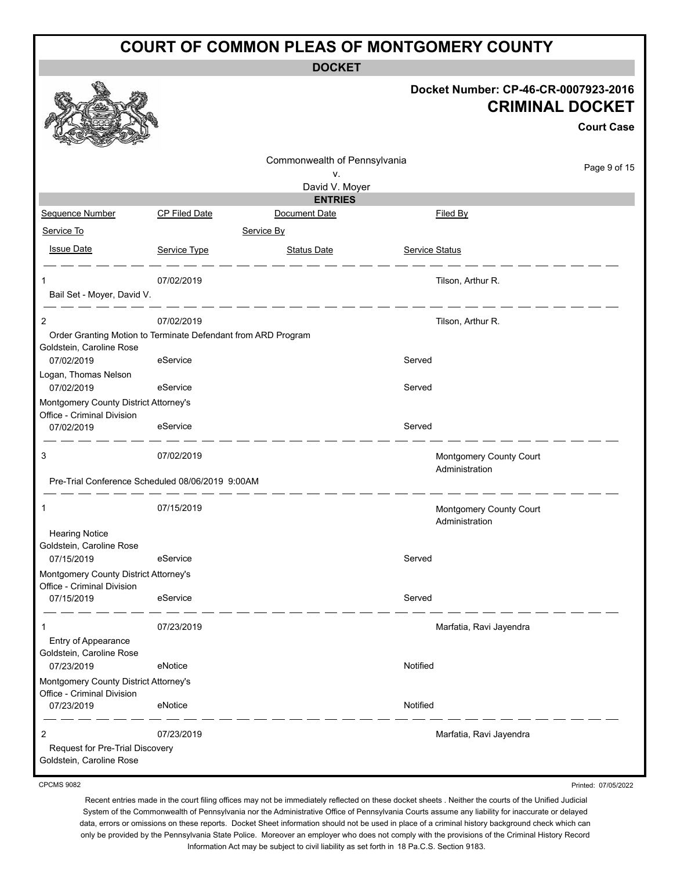**DOCKET**

| Docket Number: CP-46-CR-0007923-2016<br><b>CRIMINAL DOCKET</b><br><b>Court Case</b><br>Commonwealth of Pennsylvania<br>Page 9 of 15<br>v.<br>David V. Moyer<br><b>ENTRIES</b><br>Sequence Number<br><b>CP Filed Date</b><br>Document Date<br>Filed By<br>Service To<br>Service By<br><b>Issue Date</b><br>Service Type<br><u>Status Date</u><br><b>Service Status</b><br>07/02/2019<br>Tilson, Arthur R.<br>Bail Set - Moyer, David V.<br>------------<br>07/02/2019<br>$\overline{2}$<br>Tilson, Arthur R.<br>Order Granting Motion to Terminate Defendant from ARD Program<br>Goldstein, Caroline Rose<br>eService<br>Served<br>07/02/2019<br>Logan, Thomas Nelson<br>Served<br>07/02/2019<br>eService<br>Montgomery County District Attorney's<br>Office - Criminal Division<br>Served<br>eService<br>07/02/2019<br>3<br>07/02/2019<br>Montgomery County Court<br>Administration<br>Pre-Trial Conference Scheduled 08/06/2019 9:00AM<br>07/15/2019<br>1<br>Montgomery County Court<br>Administration<br><b>Hearing Notice</b><br>Goldstein, Caroline Rose<br>Served<br>07/15/2019<br>eService<br>Montgomery County District Attorney's<br>Office - Criminal Division<br>eService<br>Served<br>07/15/2019<br>07/23/2019<br>Marfatia, Ravi Jayendra<br>$\mathbf 1$<br>Entry of Appearance<br>Goldstein, Caroline Rose<br>Notified<br>eNotice<br>07/23/2019<br>Montgomery County District Attorney's<br>Office - Criminal Division<br>eNotice<br>Notified<br>07/23/2019<br>$\overline{c}$<br>07/23/2019<br>Marfatia, Ravi Jayendra<br>Request for Pre-Trial Discovery<br>Goldstein, Caroline Rose |  | <b>DOCKET</b> |  |
|---------------------------------------------------------------------------------------------------------------------------------------------------------------------------------------------------------------------------------------------------------------------------------------------------------------------------------------------------------------------------------------------------------------------------------------------------------------------------------------------------------------------------------------------------------------------------------------------------------------------------------------------------------------------------------------------------------------------------------------------------------------------------------------------------------------------------------------------------------------------------------------------------------------------------------------------------------------------------------------------------------------------------------------------------------------------------------------------------------------------------------------------------------------------------------------------------------------------------------------------------------------------------------------------------------------------------------------------------------------------------------------------------------------------------------------------------------------------------------------------------------------------------------------------------------------------------------------------------|--|---------------|--|
|                                                                                                                                                                                                                                                                                                                                                                                                                                                                                                                                                                                                                                                                                                                                                                                                                                                                                                                                                                                                                                                                                                                                                                                                                                                                                                                                                                                                                                                                                                                                                                                                   |  |               |  |
|                                                                                                                                                                                                                                                                                                                                                                                                                                                                                                                                                                                                                                                                                                                                                                                                                                                                                                                                                                                                                                                                                                                                                                                                                                                                                                                                                                                                                                                                                                                                                                                                   |  |               |  |
|                                                                                                                                                                                                                                                                                                                                                                                                                                                                                                                                                                                                                                                                                                                                                                                                                                                                                                                                                                                                                                                                                                                                                                                                                                                                                                                                                                                                                                                                                                                                                                                                   |  |               |  |
|                                                                                                                                                                                                                                                                                                                                                                                                                                                                                                                                                                                                                                                                                                                                                                                                                                                                                                                                                                                                                                                                                                                                                                                                                                                                                                                                                                                                                                                                                                                                                                                                   |  |               |  |
|                                                                                                                                                                                                                                                                                                                                                                                                                                                                                                                                                                                                                                                                                                                                                                                                                                                                                                                                                                                                                                                                                                                                                                                                                                                                                                                                                                                                                                                                                                                                                                                                   |  |               |  |
|                                                                                                                                                                                                                                                                                                                                                                                                                                                                                                                                                                                                                                                                                                                                                                                                                                                                                                                                                                                                                                                                                                                                                                                                                                                                                                                                                                                                                                                                                                                                                                                                   |  |               |  |
|                                                                                                                                                                                                                                                                                                                                                                                                                                                                                                                                                                                                                                                                                                                                                                                                                                                                                                                                                                                                                                                                                                                                                                                                                                                                                                                                                                                                                                                                                                                                                                                                   |  |               |  |
|                                                                                                                                                                                                                                                                                                                                                                                                                                                                                                                                                                                                                                                                                                                                                                                                                                                                                                                                                                                                                                                                                                                                                                                                                                                                                                                                                                                                                                                                                                                                                                                                   |  |               |  |
|                                                                                                                                                                                                                                                                                                                                                                                                                                                                                                                                                                                                                                                                                                                                                                                                                                                                                                                                                                                                                                                                                                                                                                                                                                                                                                                                                                                                                                                                                                                                                                                                   |  |               |  |
|                                                                                                                                                                                                                                                                                                                                                                                                                                                                                                                                                                                                                                                                                                                                                                                                                                                                                                                                                                                                                                                                                                                                                                                                                                                                                                                                                                                                                                                                                                                                                                                                   |  |               |  |
|                                                                                                                                                                                                                                                                                                                                                                                                                                                                                                                                                                                                                                                                                                                                                                                                                                                                                                                                                                                                                                                                                                                                                                                                                                                                                                                                                                                                                                                                                                                                                                                                   |  |               |  |
|                                                                                                                                                                                                                                                                                                                                                                                                                                                                                                                                                                                                                                                                                                                                                                                                                                                                                                                                                                                                                                                                                                                                                                                                                                                                                                                                                                                                                                                                                                                                                                                                   |  |               |  |
|                                                                                                                                                                                                                                                                                                                                                                                                                                                                                                                                                                                                                                                                                                                                                                                                                                                                                                                                                                                                                                                                                                                                                                                                                                                                                                                                                                                                                                                                                                                                                                                                   |  |               |  |
|                                                                                                                                                                                                                                                                                                                                                                                                                                                                                                                                                                                                                                                                                                                                                                                                                                                                                                                                                                                                                                                                                                                                                                                                                                                                                                                                                                                                                                                                                                                                                                                                   |  |               |  |
|                                                                                                                                                                                                                                                                                                                                                                                                                                                                                                                                                                                                                                                                                                                                                                                                                                                                                                                                                                                                                                                                                                                                                                                                                                                                                                                                                                                                                                                                                                                                                                                                   |  |               |  |
|                                                                                                                                                                                                                                                                                                                                                                                                                                                                                                                                                                                                                                                                                                                                                                                                                                                                                                                                                                                                                                                                                                                                                                                                                                                                                                                                                                                                                                                                                                                                                                                                   |  |               |  |
|                                                                                                                                                                                                                                                                                                                                                                                                                                                                                                                                                                                                                                                                                                                                                                                                                                                                                                                                                                                                                                                                                                                                                                                                                                                                                                                                                                                                                                                                                                                                                                                                   |  |               |  |
|                                                                                                                                                                                                                                                                                                                                                                                                                                                                                                                                                                                                                                                                                                                                                                                                                                                                                                                                                                                                                                                                                                                                                                                                                                                                                                                                                                                                                                                                                                                                                                                                   |  |               |  |
|                                                                                                                                                                                                                                                                                                                                                                                                                                                                                                                                                                                                                                                                                                                                                                                                                                                                                                                                                                                                                                                                                                                                                                                                                                                                                                                                                                                                                                                                                                                                                                                                   |  |               |  |
|                                                                                                                                                                                                                                                                                                                                                                                                                                                                                                                                                                                                                                                                                                                                                                                                                                                                                                                                                                                                                                                                                                                                                                                                                                                                                                                                                                                                                                                                                                                                                                                                   |  |               |  |
|                                                                                                                                                                                                                                                                                                                                                                                                                                                                                                                                                                                                                                                                                                                                                                                                                                                                                                                                                                                                                                                                                                                                                                                                                                                                                                                                                                                                                                                                                                                                                                                                   |  |               |  |
|                                                                                                                                                                                                                                                                                                                                                                                                                                                                                                                                                                                                                                                                                                                                                                                                                                                                                                                                                                                                                                                                                                                                                                                                                                                                                                                                                                                                                                                                                                                                                                                                   |  |               |  |
|                                                                                                                                                                                                                                                                                                                                                                                                                                                                                                                                                                                                                                                                                                                                                                                                                                                                                                                                                                                                                                                                                                                                                                                                                                                                                                                                                                                                                                                                                                                                                                                                   |  |               |  |
|                                                                                                                                                                                                                                                                                                                                                                                                                                                                                                                                                                                                                                                                                                                                                                                                                                                                                                                                                                                                                                                                                                                                                                                                                                                                                                                                                                                                                                                                                                                                                                                                   |  |               |  |
|                                                                                                                                                                                                                                                                                                                                                                                                                                                                                                                                                                                                                                                                                                                                                                                                                                                                                                                                                                                                                                                                                                                                                                                                                                                                                                                                                                                                                                                                                                                                                                                                   |  |               |  |
|                                                                                                                                                                                                                                                                                                                                                                                                                                                                                                                                                                                                                                                                                                                                                                                                                                                                                                                                                                                                                                                                                                                                                                                                                                                                                                                                                                                                                                                                                                                                                                                                   |  |               |  |
|                                                                                                                                                                                                                                                                                                                                                                                                                                                                                                                                                                                                                                                                                                                                                                                                                                                                                                                                                                                                                                                                                                                                                                                                                                                                                                                                                                                                                                                                                                                                                                                                   |  |               |  |
|                                                                                                                                                                                                                                                                                                                                                                                                                                                                                                                                                                                                                                                                                                                                                                                                                                                                                                                                                                                                                                                                                                                                                                                                                                                                                                                                                                                                                                                                                                                                                                                                   |  |               |  |
|                                                                                                                                                                                                                                                                                                                                                                                                                                                                                                                                                                                                                                                                                                                                                                                                                                                                                                                                                                                                                                                                                                                                                                                                                                                                                                                                                                                                                                                                                                                                                                                                   |  |               |  |
|                                                                                                                                                                                                                                                                                                                                                                                                                                                                                                                                                                                                                                                                                                                                                                                                                                                                                                                                                                                                                                                                                                                                                                                                                                                                                                                                                                                                                                                                                                                                                                                                   |  |               |  |
|                                                                                                                                                                                                                                                                                                                                                                                                                                                                                                                                                                                                                                                                                                                                                                                                                                                                                                                                                                                                                                                                                                                                                                                                                                                                                                                                                                                                                                                                                                                                                                                                   |  |               |  |

CPCMS 9082

Recent entries made in the court filing offices may not be immediately reflected on these docket sheets . Neither the courts of the Unified Judicial System of the Commonwealth of Pennsylvania nor the Administrative Office of Pennsylvania Courts assume any liability for inaccurate or delayed data, errors or omissions on these reports. Docket Sheet information should not be used in place of a criminal history background check which can only be provided by the Pennsylvania State Police. Moreover an employer who does not comply with the provisions of the Criminal History Record Information Act may be subject to civil liability as set forth in 18 Pa.C.S. Section 9183.

Printed: 07/05/2022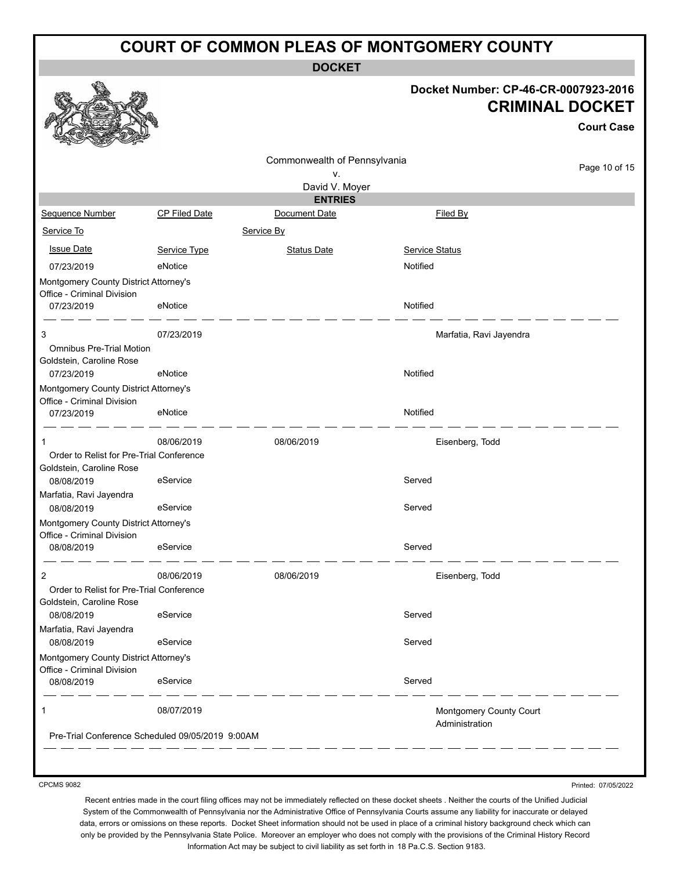**DOCKET**

#### **Docket Number: CP-46-CR-0007923-2016 CRIMINAL DOCKET**

**Court Case**

|                                                                     |                                                  |                              |                         | Court Case    |
|---------------------------------------------------------------------|--------------------------------------------------|------------------------------|-------------------------|---------------|
|                                                                     |                                                  | Commonwealth of Pennsylvania |                         | Page 10 of 15 |
|                                                                     |                                                  | ۷.<br>David V. Moyer         |                         |               |
|                                                                     |                                                  | <b>ENTRIES</b>               |                         |               |
| Sequence Number                                                     | <b>CP Filed Date</b>                             | Document Date                | Filed By                |               |
| Service To                                                          |                                                  | Service By                   |                         |               |
| <b>Issue Date</b>                                                   | Service Type                                     | <b>Status Date</b>           | <b>Service Status</b>   |               |
| 07/23/2019                                                          | eNotice                                          |                              | Notified                |               |
| Montgomery County District Attorney's<br>Office - Criminal Division |                                                  |                              |                         |               |
| 07/23/2019                                                          | eNotice                                          |                              | Notified                |               |
| 3                                                                   | 07/23/2019                                       |                              | Marfatia, Ravi Jayendra |               |
| <b>Omnibus Pre-Trial Motion</b><br>Goldstein, Caroline Rose         |                                                  |                              |                         |               |
| 07/23/2019                                                          | eNotice                                          |                              | Notified                |               |
| Montgomery County District Attorney's                               |                                                  |                              |                         |               |
| Office - Criminal Division<br>07/23/2019                            | eNotice                                          |                              | Notified                |               |
| 1                                                                   | 08/06/2019                                       | 08/06/2019                   | Eisenberg, Todd         |               |
| Order to Relist for Pre-Trial Conference                            |                                                  |                              |                         |               |
| Goldstein, Caroline Rose                                            |                                                  |                              |                         |               |
| 08/08/2019                                                          | eService                                         |                              | Served                  |               |
| Marfatia, Ravi Jayendra<br>08/08/2019                               | eService                                         |                              | Served                  |               |
| Montgomery County District Attorney's                               |                                                  |                              |                         |               |
| Office - Criminal Division                                          |                                                  |                              |                         |               |
| 08/08/2019                                                          | eService                                         |                              | Served                  |               |
| 2                                                                   | 08/06/2019                                       | 08/06/2019                   | Eisenberg, Todd         |               |
| Order to Relist for Pre-Trial Conference                            |                                                  |                              |                         |               |
| Goldstein, Caroline Rose                                            |                                                  |                              |                         |               |
| 08/08/2019<br>Marfatia, Ravi Jayendra                               | eService                                         |                              | Served                  |               |
| 08/08/2019                                                          | eService                                         |                              | Served                  |               |
| Montgomery County District Attorney's                               |                                                  |                              |                         |               |
| Office - Criminal Division                                          |                                                  |                              |                         |               |
| 08/08/2019                                                          | eService                                         |                              | Served                  |               |
| 1                                                                   | 08/07/2019                                       |                              | Montgomery County Court |               |
|                                                                     | Pre-Trial Conference Scheduled 09/05/2019 9:00AM |                              | Administration          |               |
|                                                                     |                                                  |                              |                         |               |

CPCMS 9082

Printed: 07/05/2022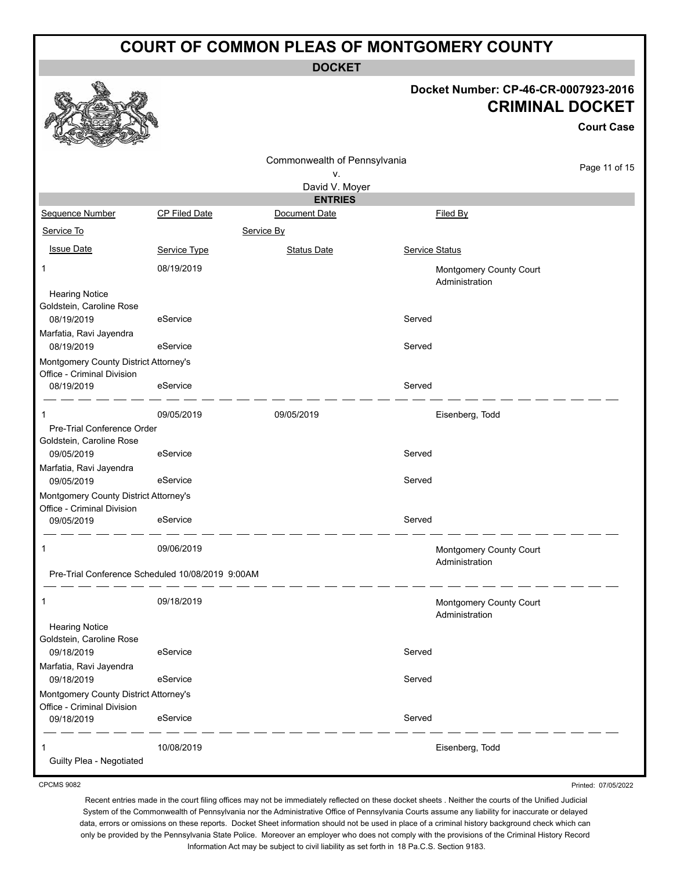**DOCKET**

#### **Docket Number: CP-46-CR-0007923-2016 CRIMINAL DOCKET**

**Court Case**

|                                                   |                      | Commonwealth of Pennsylvania |                       |                                           |               |
|---------------------------------------------------|----------------------|------------------------------|-----------------------|-------------------------------------------|---------------|
|                                                   |                      | ٧.                           |                       |                                           | Page 11 of 15 |
|                                                   |                      | David V. Moyer               |                       |                                           |               |
|                                                   |                      | <b>ENTRIES</b>               |                       |                                           |               |
| Sequence Number                                   | <b>CP Filed Date</b> | Document Date                |                       | <b>Filed By</b>                           |               |
| Service To                                        |                      | Service By                   |                       |                                           |               |
| <b>Issue Date</b>                                 | Service Type         | <b>Status Date</b>           | <b>Service Status</b> |                                           |               |
| 1                                                 | 08/19/2019           |                              |                       | Montgomery County Court<br>Administration |               |
| <b>Hearing Notice</b><br>Goldstein, Caroline Rose |                      |                              |                       |                                           |               |
| 08/19/2019<br>Marfatia, Ravi Jayendra             | eService             |                              | Served                |                                           |               |
| 08/19/2019                                        | eService             |                              | Served                |                                           |               |
| Montgomery County District Attorney's             |                      |                              |                       |                                           |               |
| Office - Criminal Division<br>08/19/2019          | eService             |                              | Served                |                                           |               |
| 1                                                 | 09/05/2019           | 09/05/2019                   |                       | Eisenberg, Todd                           |               |
| Pre-Trial Conference Order                        |                      |                              |                       |                                           |               |
| Goldstein, Caroline Rose<br>09/05/2019            | eService             |                              | Served                |                                           |               |
| Marfatia, Ravi Jayendra<br>09/05/2019             | eService             |                              | Served                |                                           |               |
| Montgomery County District Attorney's             |                      |                              |                       |                                           |               |
| Office - Criminal Division<br>09/05/2019          | eService             |                              | Served                |                                           |               |
| $\mathbf{1}$                                      | 09/06/2019           |                              |                       | Montgomery County Court                   |               |
| Pre-Trial Conference Scheduled 10/08/2019 9:00AM  |                      |                              |                       | Administration                            |               |
| 1                                                 | 09/18/2019           |                              |                       | Montgomery County Court<br>Administration |               |
| <b>Hearing Notice</b>                             |                      |                              |                       |                                           |               |
| Goldstein, Caroline Rose                          |                      |                              | Served                |                                           |               |
| 09/18/2019<br>Marfatia, Ravi Jayendra             | eService             |                              |                       |                                           |               |
| 09/18/2019                                        | eService             |                              | Served                |                                           |               |
| Montgomery County District Attorney's             |                      |                              |                       |                                           |               |
| Office - Criminal Division<br>09/18/2019          | eService             |                              | Served                |                                           |               |
| Guilty Plea - Negotiated                          | 10/08/2019           |                              |                       | Eisenberg, Todd                           |               |

CPCMS 9082

Recent entries made in the court filing offices may not be immediately reflected on these docket sheets . Neither the courts of the Unified Judicial System of the Commonwealth of Pennsylvania nor the Administrative Office of Pennsylvania Courts assume any liability for inaccurate or delayed data, errors or omissions on these reports. Docket Sheet information should not be used in place of a criminal history background check which can only be provided by the Pennsylvania State Police. Moreover an employer who does not comply with the provisions of the Criminal History Record Information Act may be subject to civil liability as set forth in 18 Pa.C.S. Section 9183.

Printed: 07/05/2022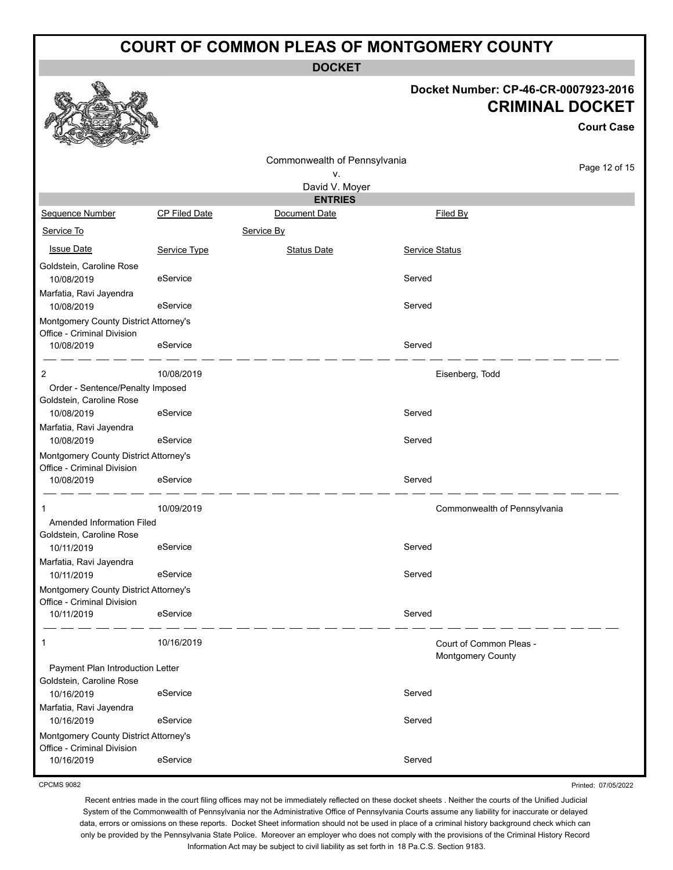**DOCKET**

# **Docket Number: CP-46-CR-0007923-2016**

|                                                                     |                      |                                  | <b>CRIMINAL DOCKET</b><br><b>Court Case</b> |                                              |               |  |
|---------------------------------------------------------------------|----------------------|----------------------------------|---------------------------------------------|----------------------------------------------|---------------|--|
|                                                                     |                      | Commonwealth of Pennsylvania     |                                             |                                              | Page 12 of 15 |  |
|                                                                     |                      | ۷.                               |                                             |                                              |               |  |
|                                                                     |                      | David V. Moyer<br><b>ENTRIES</b> |                                             |                                              |               |  |
| Sequence Number                                                     | <b>CP Filed Date</b> | Document Date                    |                                             | Filed By                                     |               |  |
| Service To                                                          |                      | Service By                       |                                             |                                              |               |  |
| <b>Issue Date</b>                                                   | Service Type         | <b>Status Date</b>               | <b>Service Status</b>                       |                                              |               |  |
| Goldstein, Caroline Rose<br>10/08/2019                              | eService             |                                  | Served                                      |                                              |               |  |
| Marfatia, Ravi Jayendra<br>10/08/2019                               | eService             |                                  | Served                                      |                                              |               |  |
| Montgomery County District Attorney's<br>Office - Criminal Division |                      |                                  |                                             |                                              |               |  |
| 10/08/2019                                                          | eService             |                                  | Served                                      |                                              |               |  |
| 2<br>Order - Sentence/Penalty Imposed                               | 10/08/2019           |                                  |                                             | Eisenberg, Todd                              |               |  |
| Goldstein, Caroline Rose<br>10/08/2019                              | eService             |                                  | Served                                      |                                              |               |  |
| Marfatia, Ravi Jayendra<br>10/08/2019                               | eService             |                                  | Served                                      |                                              |               |  |
| Montgomery County District Attorney's<br>Office - Criminal Division |                      |                                  |                                             |                                              |               |  |
| 10/08/2019                                                          | eService             |                                  | Served                                      |                                              |               |  |
| 1                                                                   | 10/09/2019           |                                  |                                             | Commonwealth of Pennsylvania                 |               |  |
| Amended Information Filed<br>Goldstein, Caroline Rose               |                      |                                  |                                             |                                              |               |  |
| 10/11/2019<br>Marfatia, Ravi Jayendra                               | eService             |                                  | Served                                      |                                              |               |  |
| 10/11/2019                                                          | eService             |                                  | Served                                      |                                              |               |  |
| Montgomery County District Attorney's                               |                      |                                  |                                             |                                              |               |  |
| Office - Criminal Division<br>10/11/2019                            | eService             |                                  | Served                                      |                                              |               |  |
| 1                                                                   | 10/16/2019           |                                  |                                             | Court of Common Pleas -<br>Montgomery County |               |  |
| Payment Plan Introduction Letter<br>Goldstein, Caroline Rose        |                      |                                  |                                             |                                              |               |  |
| 10/16/2019<br>Marfatia, Ravi Jayendra                               | eService             |                                  | Served                                      |                                              |               |  |
| 10/16/2019                                                          | eService             |                                  | Served                                      |                                              |               |  |
| Montgomery County District Attorney's<br>Office - Criminal Division |                      |                                  |                                             |                                              |               |  |
| 10/16/2019                                                          | eService             |                                  | Served                                      |                                              |               |  |

CPCMS 9082

Q

52

线系

Printed: 07/05/2022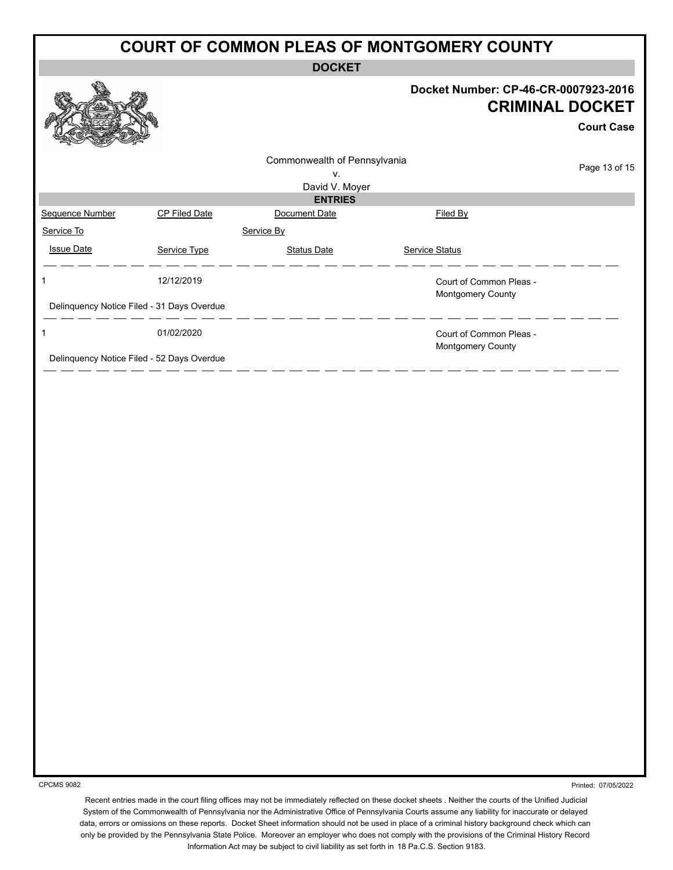#### **COURT OF COMMON PLEAS OF MONTGOMERY COUNTY DOCKET Docket Number: CP-46-CR-0007923-2016 CRIMINAL DOCKET Court Case** Commonwealth of Pennsylvania Page 13 of 15 v. David V. Moyer **ENTRIES** Sequence Number CP Filed Date CP Filed Date Document Date CP Filed By Service To Service By **Issue Date Service Type** Service Type Status Date Service Status Date Service Status Service Status **Service Status** 1 12/12/2019 Court of Common Pleas - Montgomery County Delinquency Notice Filed - 31 Days Overdue \_ \_\_ \_\_ \_\_ \_\_ \_\_ <u>. . .</u> 1 01/02/2020 Court of Common Pleas - Montgomery County Delinquency Notice Filed - 52 Days Overdue - - - - - - - - - - -

CPCMS 9082

Printed: 07/05/2022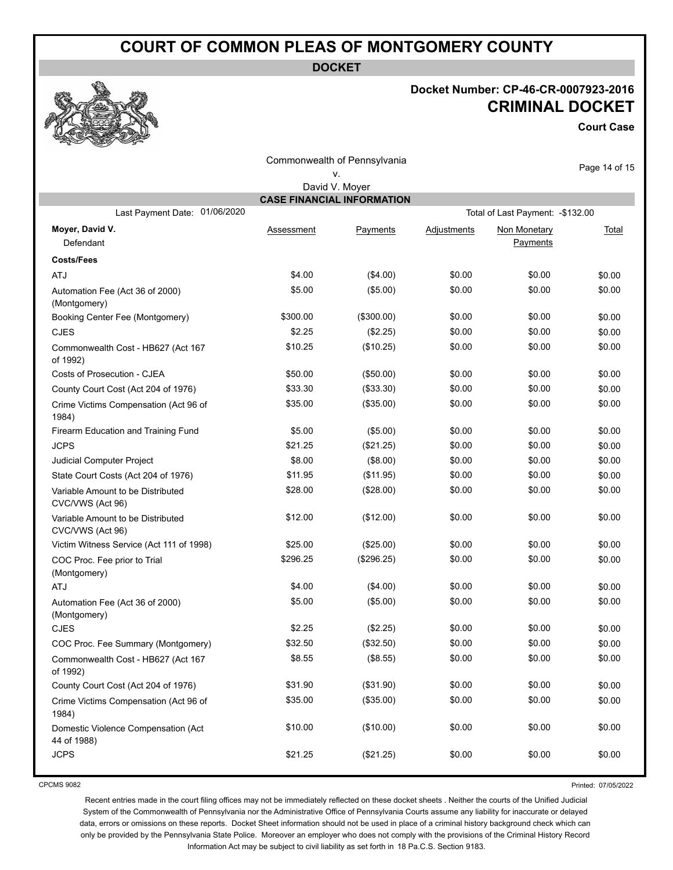**DOCKET**

### **Docket Number: CP-46-CR-0007923-2016 CRIMINAL DOCKET**

**Court Case**

| Commonwealth of Pennsylvania                                       |            |             |             |              |               |  |  |  |  |
|--------------------------------------------------------------------|------------|-------------|-------------|--------------|---------------|--|--|--|--|
|                                                                    |            | ν.          |             |              | Page 14 of 15 |  |  |  |  |
| David V. Moyer<br><b>CASE FINANCIAL INFORMATION</b>                |            |             |             |              |               |  |  |  |  |
| Last Payment Date: 01/06/2020<br>Total of Last Payment: - \$132.00 |            |             |             |              |               |  |  |  |  |
| Moyer, David V.                                                    | Assessment | Payments    | Adjustments | Non Monetary | Total         |  |  |  |  |
| Defendant                                                          |            |             |             | Payments     |               |  |  |  |  |
| <b>Costs/Fees</b>                                                  |            |             |             |              |               |  |  |  |  |
| ATJ                                                                | \$4.00     | (\$4.00)    | \$0.00      | \$0.00       | \$0.00        |  |  |  |  |
| Automation Fee (Act 36 of 2000)                                    | \$5.00     | (\$5.00)    | \$0.00      | \$0.00       | \$0.00        |  |  |  |  |
| (Montgomery)                                                       |            |             |             |              |               |  |  |  |  |
| Booking Center Fee (Montgomery)                                    | \$300.00   | (\$300.00)  | \$0.00      | \$0.00       | \$0.00        |  |  |  |  |
| <b>CJES</b>                                                        | \$2.25     | (\$2.25)    | \$0.00      | \$0.00       | \$0.00        |  |  |  |  |
| Commonwealth Cost - HB627 (Act 167<br>of 1992)                     | \$10.25    | (\$10.25)   | \$0.00      | \$0.00       | \$0.00        |  |  |  |  |
| Costs of Prosecution - CJEA                                        | \$50.00    | (\$50.00)   | \$0.00      | \$0.00       | \$0.00        |  |  |  |  |
| County Court Cost (Act 204 of 1976)                                | \$33.30    | (\$33.30)   | \$0.00      | \$0.00       | \$0.00        |  |  |  |  |
| Crime Victims Compensation (Act 96 of<br>1984)                     | \$35.00    | (\$35.00)   | \$0.00      | \$0.00       | \$0.00        |  |  |  |  |
| Firearm Education and Training Fund                                | \$5.00     | (\$5.00)    | \$0.00      | \$0.00       | \$0.00        |  |  |  |  |
| <b>JCPS</b>                                                        | \$21.25    | (\$21.25)   | \$0.00      | \$0.00       | \$0.00        |  |  |  |  |
| Judicial Computer Project                                          | \$8.00     | (\$8.00)    | \$0.00      | \$0.00       | \$0.00        |  |  |  |  |
| State Court Costs (Act 204 of 1976)                                | \$11.95    | (\$11.95)   | \$0.00      | \$0.00       | \$0.00        |  |  |  |  |
| Variable Amount to be Distributed<br>CVC/VWS (Act 96)              | \$28.00    | (\$28.00)   | \$0.00      | \$0.00       | \$0.00        |  |  |  |  |
| Variable Amount to be Distributed<br>CVC/VWS (Act 96)              | \$12.00    | (\$12.00)   | \$0.00      | \$0.00       | \$0.00        |  |  |  |  |
| Victim Witness Service (Act 111 of 1998)                           | \$25.00    | (\$25.00)   | \$0.00      | \$0.00       | \$0.00        |  |  |  |  |
| COC Proc. Fee prior to Trial<br>(Montgomery)                       | \$296.25   | (\$296.25)  | \$0.00      | \$0.00       | \$0.00        |  |  |  |  |
| ATJ                                                                | \$4.00     | (\$4.00)    | \$0.00      | \$0.00       | \$0.00        |  |  |  |  |
| Automation Fee (Act 36 of 2000)<br>(Montgomery)                    | \$5.00     | (\$5.00)    | \$0.00      | \$0.00       | \$0.00        |  |  |  |  |
| <b>CJES</b>                                                        | \$2.25     | (\$2.25)    | \$0.00      | \$0.00       | \$0.00        |  |  |  |  |
| COC Proc. Fee Summary (Montgomery)                                 | \$32.50    | $(\$32.50)$ | \$0.00      | \$0.00       | \$0.00        |  |  |  |  |
| Commonwealth Cost - HB627 (Act 167<br>of 1992)                     | \$8.55     | (\$8.55)    | \$0.00      | \$0.00       | \$0.00        |  |  |  |  |
| County Court Cost (Act 204 of 1976)                                | \$31.90    | (\$31.90)   | \$0.00      | \$0.00       | \$0.00        |  |  |  |  |
| Crime Victims Compensation (Act 96 of<br>1984)                     | \$35.00    | (\$35.00)   | \$0.00      | \$0.00       | \$0.00        |  |  |  |  |
| Domestic Violence Compensation (Act<br>44 of 1988)                 | \$10.00    | (\$10.00)   | \$0.00      | \$0.00       | \$0.00        |  |  |  |  |
| <b>JCPS</b>                                                        | \$21.25    | (\$21.25)   | \$0.00      | \$0.00       | \$0.00        |  |  |  |  |

CPCMS 9082

Printed: 07/05/2022